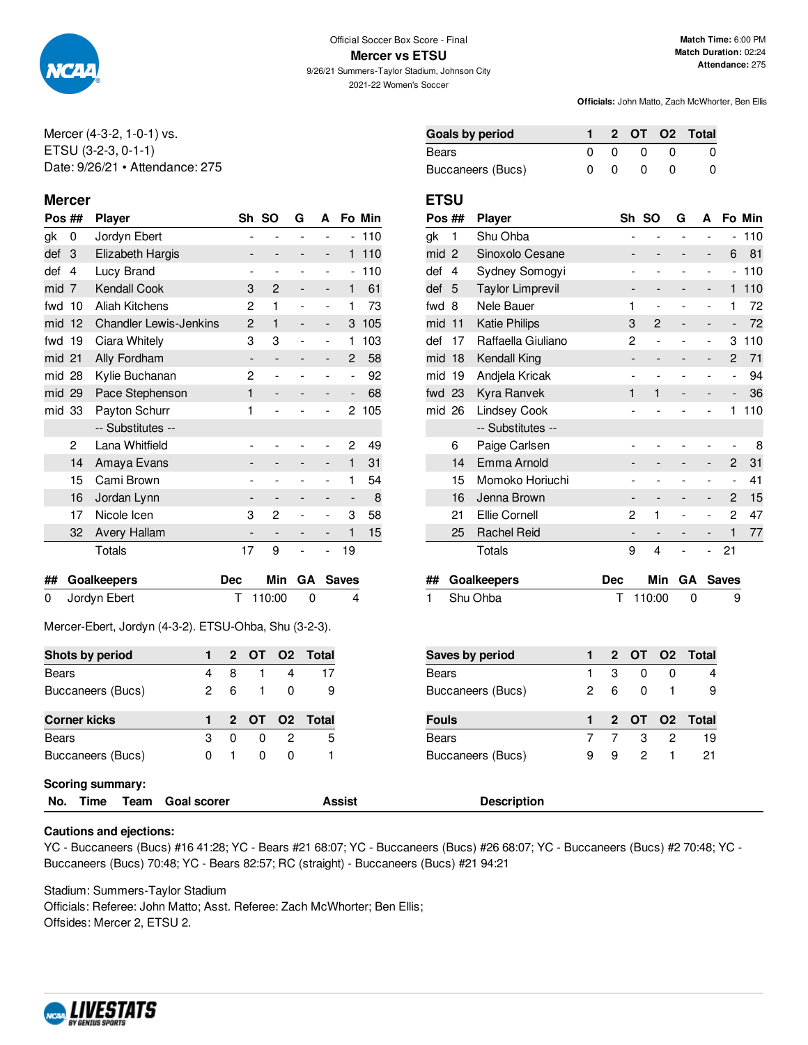

**Mercer vs ETSU**

9/26/21 Summers-Taylor Stadium, Johnson City 2021-22 Women's Soccer

**Match Time:** 6:00 PM **Match Duration:** 02:24 **Attendance:** 275

**Officials:** John Matto, Zach McWhorter, Ben Ellis

Mercer (4-3-2, 1-0-1) vs. ETSU (3-2-3, 0-1-1) Date: 9/26/21 • Attendance: 275

## **Mercer ETSU**

| Pos ## |    | <b>Player</b>                 |                          | Sh SO                        | G | A              |                          | Fo Min |
|--------|----|-------------------------------|--------------------------|------------------------------|---|----------------|--------------------------|--------|
| gk     | 0  | Jordyn Ebert                  |                          |                              |   |                | -                        | 110    |
| def    | 3  | Elizabeth Hargis              |                          |                              |   | -              | 1                        | 110    |
| def    | 4  | Lucy Brand                    |                          | $\qquad \qquad \blacksquare$ |   | -              | $\overline{\phantom{0}}$ | 110    |
| mid    | 7  | <b>Kendall Cook</b>           | 3                        | 2                            |   | -              | 1                        | 61     |
| fwd    | 10 | <b>Aliah Kitchens</b>         | 2                        | 1                            |   |                | 1                        | 73     |
| mid    | 12 | <b>Chandler Lewis-Jenkins</b> | 2                        | 1                            |   |                | 3                        | 105    |
| fwd    | 19 | Ciara Whitely                 | 3                        | 3                            |   | $\overline{a}$ | 1                        | 103    |
| mid 21 |    | Ally Fordham                  | $\overline{\phantom{a}}$ | $\qquad \qquad -$            |   | -              | $\overline{2}$           | 58     |
| mid 28 |    | Kylie Buchanan                | 2                        | $\overline{a}$               |   |                | ۰                        | 92     |
| mid 29 |    | Pace Stephenson               | 1                        |                              |   |                |                          | 68     |
| mid 33 |    | Payton Schurr                 | 1                        |                              |   |                | 2                        | 105    |
|        |    | -- Substitutes --             |                          |                              |   |                |                          |        |
|        | 2  | Lana Whitfield                |                          |                              |   |                | 2                        | 49     |
|        | 14 | Amaya Evans                   |                          |                              |   |                | 1                        | 31     |
|        | 15 | Cami Brown                    |                          |                              |   |                | 1                        | 54     |
|        | 16 | Jordan Lynn                   |                          | $\overline{\phantom{a}}$     |   | -              |                          | 8      |
|        | 17 | Nicole Icen                   | 3                        | 2                            |   |                | 3                        | 58     |
|        | 32 | Avery Hallam                  |                          |                              |   | -              | 1                        | 15     |
|        |    | Totals                        | 17                       | 9                            |   |                | 19                       |        |
|        |    |                               |                          |                              |   |                |                          |        |

| ## Goalkeepers | Dec |            | Min GA Saves |
|----------------|-----|------------|--------------|
| 0 Jordyn Ebert |     | T 110:00 0 | 4            |

Mercer-Ebert, Jordyn (4-3-2). ETSU-Ohba, Shu (3-2-3).

| Shots by period     |   |    |              |   | 2 OT O2 Total |
|---------------------|---|----|--------------|---|---------------|
| Bears               | 4 | 8  |              |   | 17            |
| Buccaneers (Bucs)   | 2 | 6. | $\mathbf{1}$ | n |               |
|                     |   |    |              |   |               |
| <b>Corner kicks</b> |   |    |              |   | 2 OT O2 Total |
| Bears               | з | n  | O            | 2 | 5             |

| Goals by period   |          |     | 2 OT O2 Total |
|-------------------|----------|-----|---------------|
| Bears             | $\Omega$ | - 0 |               |
| Buccaneers (Bucs) |          | -0  |               |

| Pos ## |     | <b>Player</b>           |                              | Sh SO | G | A |                | Fo Min |
|--------|-----|-------------------------|------------------------------|-------|---|---|----------------|--------|
| gk     | 1   | Shu Ohba                |                              |       |   |   | $\overline{a}$ | 110    |
| mid    | 2   | Sinoxolo Cesane         |                              |       |   |   | 6              | 81     |
| def    | 4   | Sydney Somogyi          |                              |       |   |   | $\overline{a}$ | 110    |
| def    | 5   | <b>Taylor Limprevil</b> |                              |       |   | - | 1              | 110    |
| fwd    | 8   | Nele Bauer              | 1                            |       |   |   | 1              | 72     |
| mid    | 11  | <b>Katie Philips</b>    | 3                            | 2     |   |   | -              | 72     |
| def    | 17  | Raffaella Giuliano      | 2                            |       |   |   | 3              | 110    |
| mid    | 18  | Kendall King            | -                            |       |   |   | $\overline{c}$ | 71     |
| mid    | 19  | Andjela Kricak          |                              |       |   |   | $\overline{a}$ | 94     |
| fwd 23 |     | Kyra Ranvek             | 1                            | 1     |   |   |                | 36     |
| mid    | -26 | <b>Lindsey Cook</b>     |                              |       |   |   | 1              | 110    |
|        |     | -- Substitutes --       |                              |       |   |   |                |        |
|        | 6   | Paige Carlsen           |                              |       |   |   |                | 8      |
|        | 14  | Emma Arnold             |                              |       |   |   | $\overline{2}$ | 31     |
|        | 15  | Momoko Horiuchi         |                              |       |   |   | $\overline{a}$ | 41     |
|        | 16  | Jenna Brown             | $\qquad \qquad \blacksquare$ |       |   | - | 2              | 15     |
|        | 21  | Ellie Cornell           | 2                            | 1     |   |   | 2              | 47     |
|        | 25  | <b>Rachel Reid</b>      |                              |       |   |   | 1              | 77     |
|        |     | Totals                  | 9                            | 4     |   |   | 21             |        |
|        |     |                         |                              |       |   |   |                |        |

| ## Goalkeepers | Dec |            | Min GA Saves |
|----------------|-----|------------|--------------|
| 1 Shu Ohba     |     | T 110:00 0 | -9           |

| <b>Saves by period</b> |   |   |          |              | 2 OT O2 Total   |
|------------------------|---|---|----------|--------------|-----------------|
| Bears                  |   | 3 | 0        | <sup>0</sup> |                 |
| Buccaneers (Bucs)      | 2 | 6 | $\Omega$ |              |                 |
|                        |   |   |          |              |                 |
|                        |   |   |          |              |                 |
| Fouls                  |   |   |          |              | 1 2 OT 02 Total |
| Bears                  |   |   | -3       |              | 19              |

## **Scoring summary:**

```
No. Time Team Goal scorer Assist Description
```
### **Cautions and ejections:**

YC - Buccaneers (Bucs) #16 41:28; YC - Bears #21 68:07; YC - Buccaneers (Bucs) #26 68:07; YC - Buccaneers (Bucs) #2 70:48; YC - Buccaneers (Bucs) 70:48; YC - Bears 82:57; RC (straight) - Buccaneers (Bucs) #21 94:21

Stadium: Summers-Taylor Stadium Officials: Referee: John Matto; Asst. Referee: Zach McWhorter; Ben Ellis;

Offsides: Mercer 2, ETSU 2.

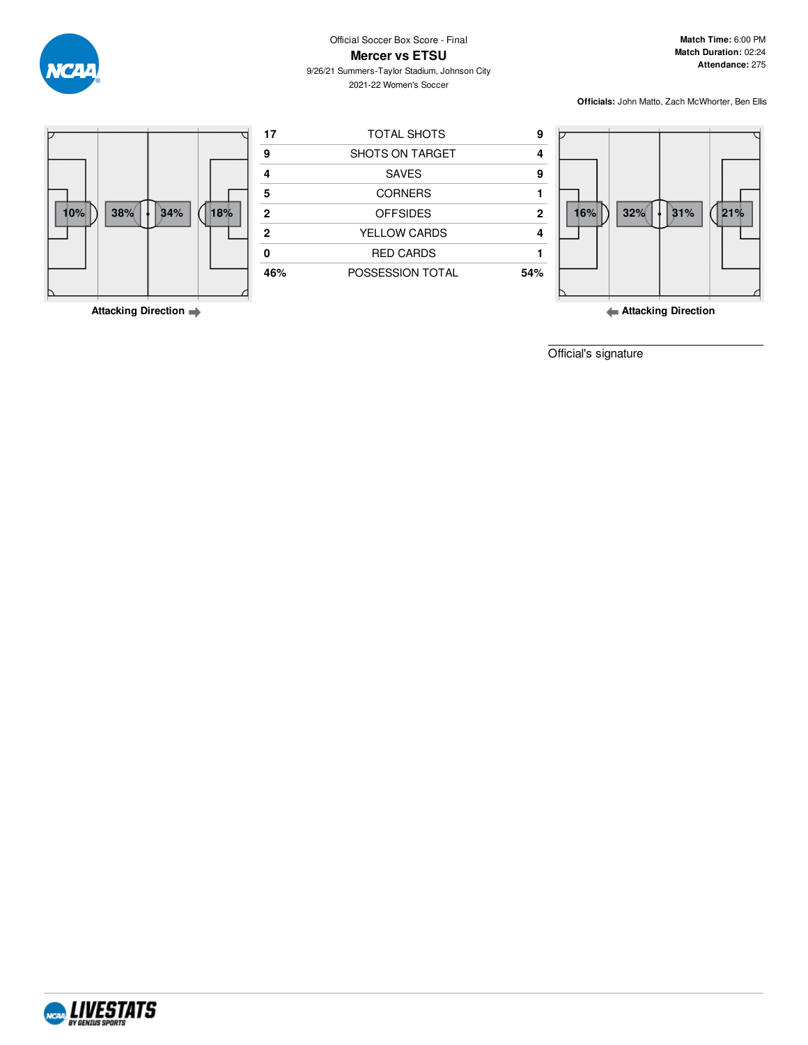

**Match Time:** 6:00 PM **Match Duration:** 02:24 **Attendance:** 275

9/26/21 Summers-Taylor Stadium, Johnson City 2021-22 Women's Soccer

**Officials:** John Matto, Zach McWhorter, Ben Ellis



**Attacking Direction**

**Attacking Direction**

Official's signature

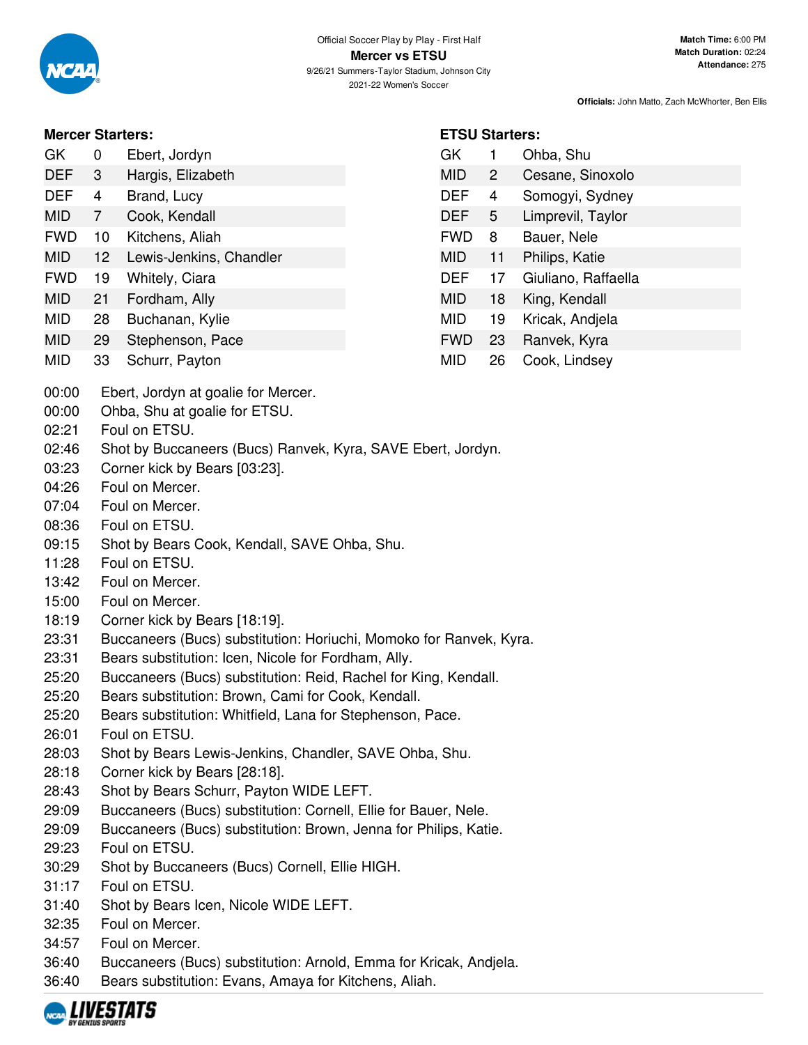**ETSU Starters:**

GK 1 Ohba, Shu

MID 2 Cesane, Sinoxolo DEF 4 Somogyi, Sydney DEF 5 Limprevil, Taylor FWD 8 Bauer, Nele MID 11 Philips, Katie

DEF 17 Giuliano, Raffaella

MID 18 King, Kendall MID 19 Kricak, Andjela FWD 23 Ranvek, Kyra MID 26 Cook, Lindsey

**Officials:** John Matto, Zach McWhorter, Ben Ellis

## **Mercer Starters:**

| GK         | 0   | Ebert, Jordyn     |
|------------|-----|-------------------|
| <b>DEF</b> | - 3 | Hargis, Elizabeth |

- DEF 4 Brand, Lucy
- MID 7 Cook, Kendall
- FWD 10 Kitchens, Aliah
- MID 12 Lewis-Jenkins, Chandler
- FWD 19 Whitely, Ciara
- MID 21 Fordham, Ally
- MID 28 Buchanan, Kylie
- MID 29 Stephenson, Pace
- MID 33 Schurr, Payton
- 00:00 Ebert, Jordyn at goalie for Mercer.
- 00:00 Ohba, Shu at goalie for ETSU.
- 02:21 Foul on ETSU.
- 02:46 Shot by Buccaneers (Bucs) Ranvek, Kyra, SAVE Ebert, Jordyn.
- 03:23 Corner kick by Bears [03:23].
- 04:26 Foul on Mercer.
- 07:04 Foul on Mercer.
- 08:36 Foul on ETSU.
- 09:15 Shot by Bears Cook, Kendall, SAVE Ohba, Shu.
- 11:28 Foul on ETSU.
- 13:42 Foul on Mercer.
- 15:00 Foul on Mercer.
- 18:19 Corner kick by Bears [18:19].
- 23:31 Buccaneers (Bucs) substitution: Horiuchi, Momoko for Ranvek, Kyra.
- 23:31 Bears substitution: Icen, Nicole for Fordham, Ally.
- 25:20 Buccaneers (Bucs) substitution: Reid, Rachel for King, Kendall.
- 25:20 Bears substitution: Brown, Cami for Cook, Kendall.
- 25:20 Bears substitution: Whitfield, Lana for Stephenson, Pace.
- 26:01 Foul on ETSU.
- 28:03 Shot by Bears Lewis-Jenkins, Chandler, SAVE Ohba, Shu.
- 28:18 Corner kick by Bears [28:18].
- 28:43 Shot by Bears Schurr, Payton WIDE LEFT.
- 29:09 Buccaneers (Bucs) substitution: Cornell, Ellie for Bauer, Nele.
- 29:09 Buccaneers (Bucs) substitution: Brown, Jenna for Philips, Katie.
- 29:23 Foul on ETSU.
- 30:29 Shot by Buccaneers (Bucs) Cornell, Ellie HIGH.
- 31:17 Foul on ETSU.
- 31:40 Shot by Bears Icen, Nicole WIDE LEFT.
- 32:35 Foul on Mercer.
- 34:57 Foul on Mercer.
- 36:40 Buccaneers (Bucs) substitution: Arnold, Emma for Kricak, Andjela.
- 36:40 Bears substitution: Evans, Amaya for Kitchens, Aliah.

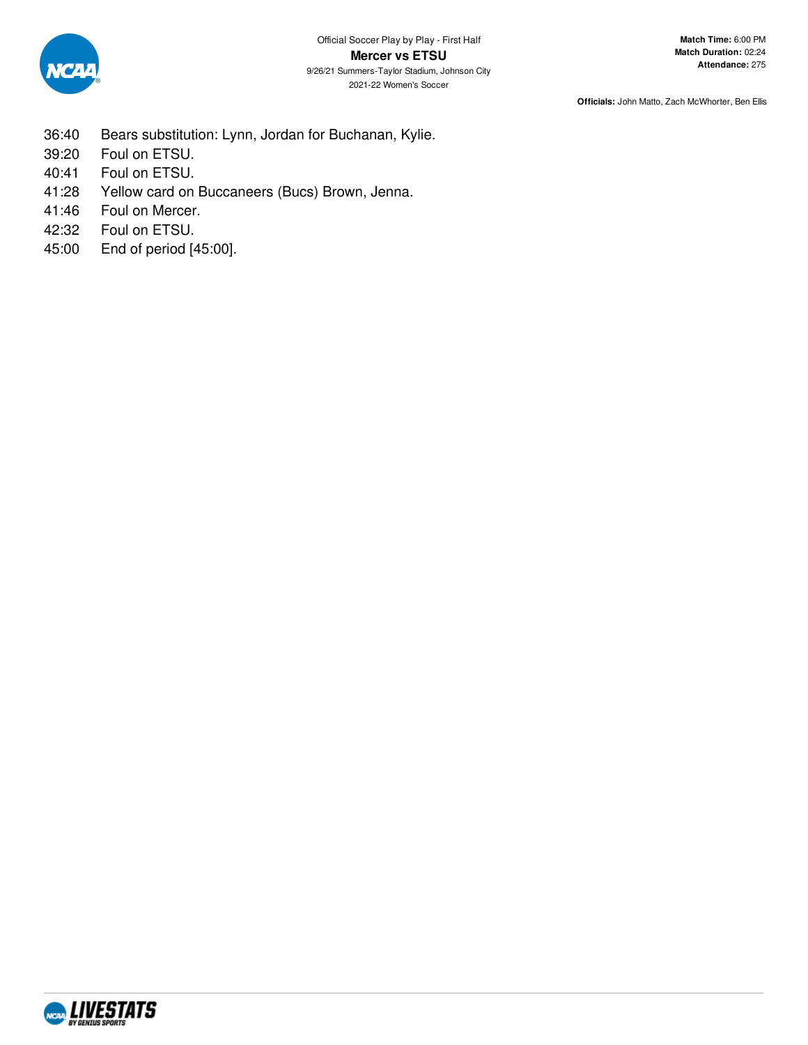

- 36:40 Bears substitution: Lynn, Jordan for Buchanan, Kylie.
- 39:20 Foul on ETSU.
- 40:41 Foul on ETSU.
- 41:28 Yellow card on Buccaneers (Bucs) Brown, Jenna.
- 41:46 Foul on Mercer.
- 42:32 Foul on ETSU.
- 45:00 End of period [45:00].

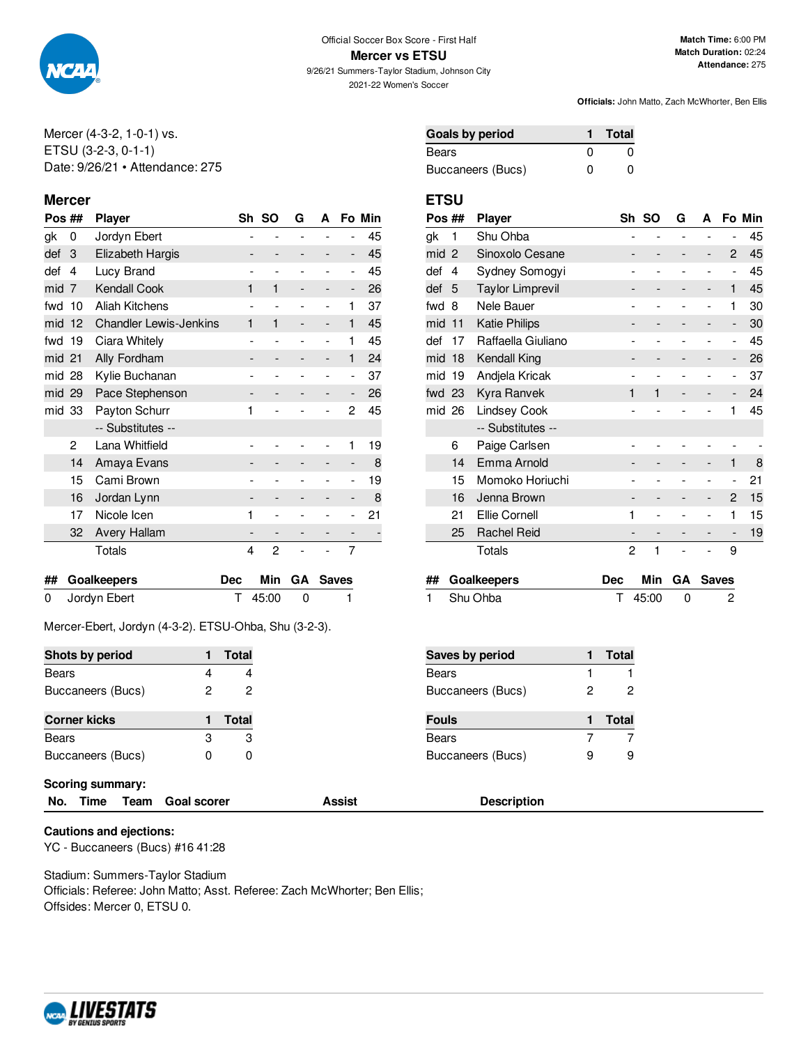

**Mercer vs ETSU** 9/26/21 Summers-Taylor Stadium, Johnson City

2021-22 Women's Soccer

**Officials:** John Matto, Zach McWhorter, Ben Ellis

Mercer (4-3-2, 1-0-1) vs. ETSU (3-2-3, 0-1-1) Date: 9/26/21 • Attendance: 275

### **Mercer ETSU**

| Pos ## |    | <b>Player</b>                 |   | Sh SO | G | A |   | Fo Min |
|--------|----|-------------------------------|---|-------|---|---|---|--------|
| gk     | 0  | Jordyn Ebert                  |   |       |   |   |   | 45     |
| def    | 3  | Elizabeth Hargis              |   |       |   |   | - | 45     |
| def    | 4  | Lucy Brand                    |   | ٠     |   |   | - | 45     |
| mid    | 7  | <b>Kendall Cook</b>           | 1 | 1     |   |   | - | 26     |
| fwd    | 10 | <b>Aliah Kitchens</b>         |   |       |   |   | 1 | 37     |
| mid    | 12 | <b>Chandler Lewis-Jenkins</b> | 1 | 1     |   |   | 1 | 45     |
| fwd    | 19 | Ciara Whitely                 |   |       |   |   | 1 | 45     |
| mid 21 |    | Ally Fordham                  |   |       |   | - | 1 | 24     |
| mid 28 |    | Kylie Buchanan                |   |       |   |   | ۰ | 37     |
| mid 29 |    | Pace Stephenson               |   |       |   |   | - | 26     |
| mid 33 |    | Payton Schurr                 | 1 |       |   |   | 2 | 45     |
|        |    | -- Substitutes --             |   |       |   |   |   |        |
|        | 2  | Lana Whitfield                |   |       |   |   | 1 | 19     |
|        | 14 | Amaya Evans                   |   |       |   |   | - | 8      |
|        | 15 | Cami Brown                    |   |       |   |   |   | 19     |
|        | 16 | Jordan Lynn                   |   |       |   |   |   | 8      |
|        | 17 | Nicole Icen                   | 1 |       |   |   |   | 21     |
|        | 32 | <b>Avery Hallam</b>           |   |       |   |   |   |        |
|        |    | Totals                        | 4 | 2     |   |   | 7 |        |
|        |    |                               |   |       |   |   |   |        |

| ## Goalkeepers |             | Dec Min GA Saves |
|----------------|-------------|------------------|
| 0 Jordyn Ebert | $T$ 45:00 0 |                  |

Mercer-Ebert, Jordyn (4-3-2). ETSU-Ohba, Shu (3-2-3).

| Shots by period         |   | Total | <b>Saves by period</b> |   | <b>Total</b> |
|-------------------------|---|-------|------------------------|---|--------------|
| <b>Bears</b>            | 4 | 4     | Bears                  |   |              |
| Buccaneers (Bucs)       |   | 2     | Buccaneers (Bucs)      |   |              |
| <b>Corner kicks</b>     |   | Total | <b>Fouls</b>           |   | <b>Total</b> |
| <b>Bears</b>            | 3 | 3     | <b>Bears</b>           |   |              |
| Buccaneers (Bucs)       | 0 | 0     | Buccaneers (Bucs)      | 9 |              |
| <b>Scoring summary:</b> |   |       |                        |   |              |

**No. Time Team Goal scorer Assist Description**

**Cautions and ejections:** YC - Buccaneers (Bucs) #16 41:28

Stadium: Summers-Taylor Stadium Officials: Referee: John Matto; Asst. Referee: Zach McWhorter; Ben Ellis; Offsides: Mercer 0, ETSU 0.



| Pos ## |                | <b>Player</b>           |                              | Sh SO | G | А |                          | Fo Min |
|--------|----------------|-------------------------|------------------------------|-------|---|---|--------------------------|--------|
| gk     | 1              | Shu Ohba                | $\overline{a}$               |       |   |   | -                        | 45     |
| mid    | $\overline{2}$ | Sinoxolo Cesane         | -                            |       |   | - | 2                        | 45     |
| def    | 4              | Sydney Somogyi          |                              |       |   |   | -                        | 45     |
| def    | 5              | <b>Taylor Limprevil</b> |                              |       |   | - | 1                        | 45     |
| fwd    | 8              | Nele Bauer              | $\overline{a}$               |       |   |   | 1                        | 30     |
| mid    | 11             | <b>Katie Philips</b>    |                              |       |   |   | -                        | 30     |
| def    | 17             | Raffaella Giuliano      |                              |       |   |   | $\overline{\phantom{a}}$ | 45     |
| mid    | 18             | Kendall King            |                              |       |   |   | -                        | 26     |
| mid    | 19             | Andjela Kricak          |                              |       |   |   | -                        | 37     |
| fwd    | 23             | Kyra Ranvek             | 1                            | 1     |   |   |                          | 24     |
| mid    | 26             | <b>Lindsey Cook</b>     |                              |       |   |   | 1                        | 45     |
|        |                | -- Substitutes --       |                              |       |   |   |                          |        |
|        | 6              | Paige Carlsen           |                              |       |   |   |                          |        |
|        | 14             | Emma Arnold             |                              |       |   |   | 1                        | 8      |
|        | 15             | Momoko Horiuchi         |                              |       |   |   |                          | 21     |
|        | 16             | Jenna Brown             | $\qquad \qquad \blacksquare$ |       |   | - | 2                        | 15     |
|        | 21             | <b>Ellie Cornell</b>    | 1                            |       |   |   | 1                        | 15     |
|        | 25             | <b>Rachel Reid</b>      |                              |       |   |   | -                        | 19     |
|        |                | <b>Totals</b>           | 2                            | 1     |   |   | 9                        |        |
|        |                |                         |                              |       |   |   |                          |        |

| ## Goalkeepers |             | Dec Min GA Saves |
|----------------|-------------|------------------|
| 1 Shu Ohba     | $T$ 45:00 0 |                  |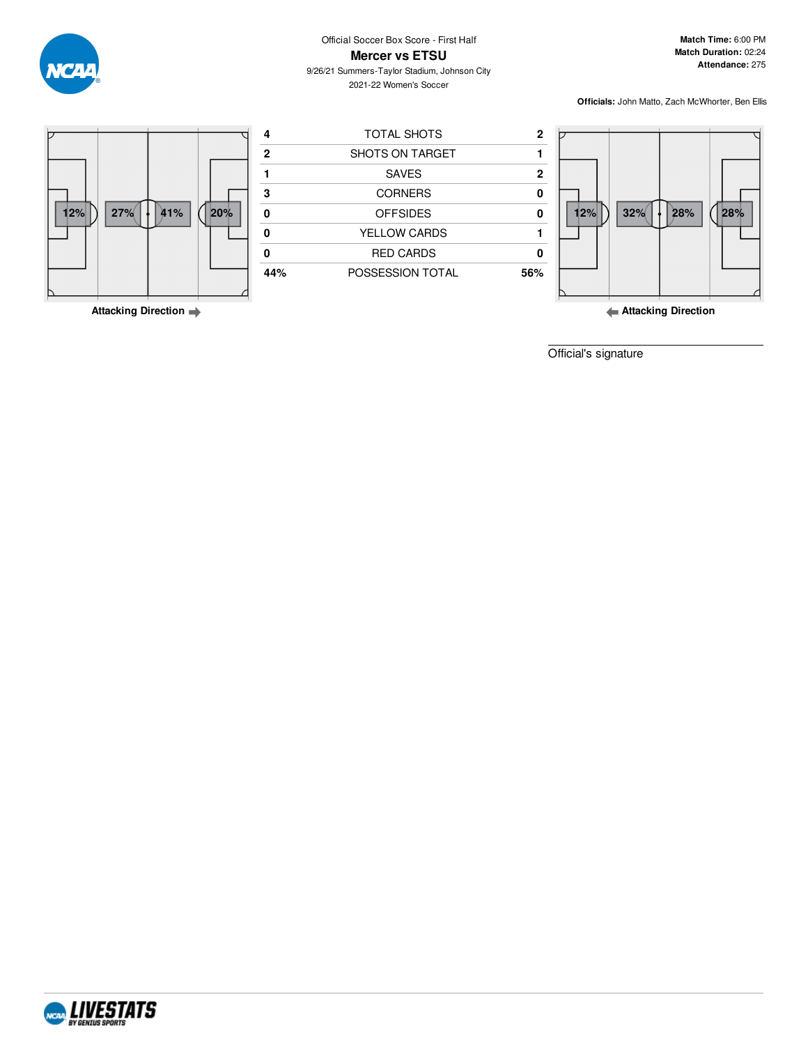

9/26/21 Summers-Taylor Stadium, Johnson City 2021-22 Women's Soccer

**Match Time:** 6:00 PM **Match Duration:** 02:24 **Attendance:** 275

**Officials:** John Matto, Zach McWhorter, Ben Ellis



**Attacking Direction**

**Attacking Direction**

Official's signature

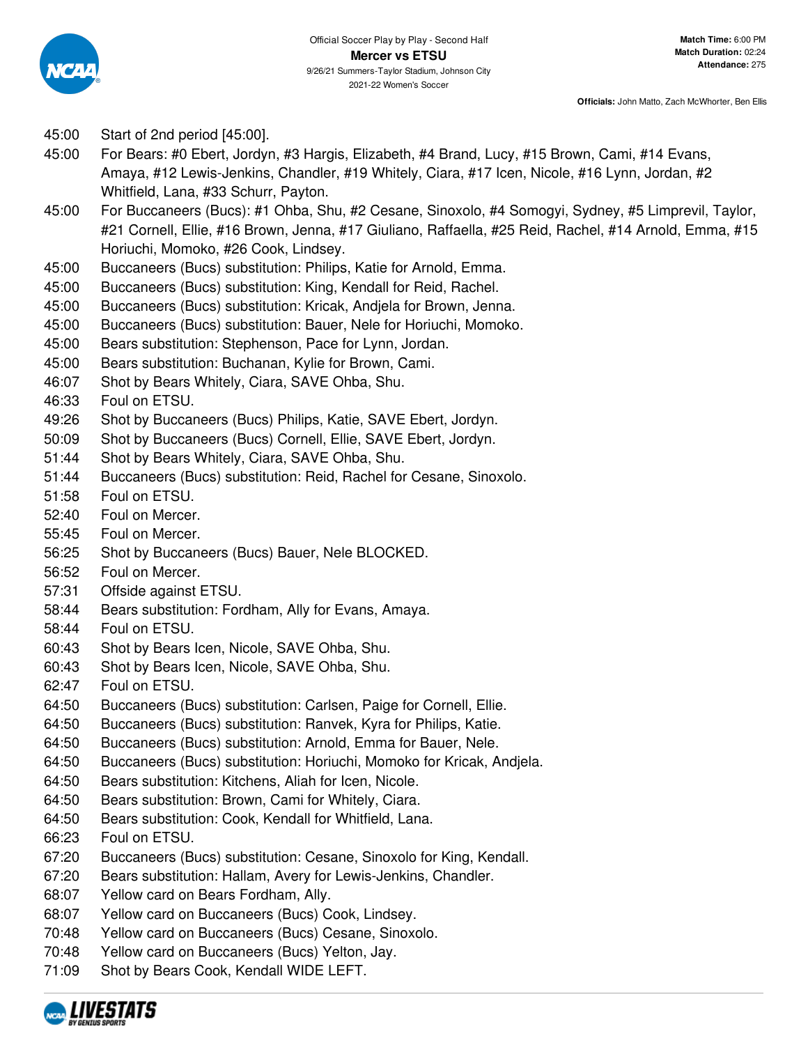

- 45:00 Start of 2nd period [45:00].
- 45:00 For Bears: #0 Ebert, Jordyn, #3 Hargis, Elizabeth, #4 Brand, Lucy, #15 Brown, Cami, #14 Evans, Amaya, #12 Lewis-Jenkins, Chandler, #19 Whitely, Ciara, #17 Icen, Nicole, #16 Lynn, Jordan, #2 Whitfield, Lana, #33 Schurr, Payton.
- 45:00 For Buccaneers (Bucs): #1 Ohba, Shu, #2 Cesane, Sinoxolo, #4 Somogyi, Sydney, #5 Limprevil, Taylor, #21 Cornell, Ellie, #16 Brown, Jenna, #17 Giuliano, Raffaella, #25 Reid, Rachel, #14 Arnold, Emma, #15 Horiuchi, Momoko, #26 Cook, Lindsey.
- 45:00 Buccaneers (Bucs) substitution: Philips, Katie for Arnold, Emma.
- 45:00 Buccaneers (Bucs) substitution: King, Kendall for Reid, Rachel.
- 45:00 Buccaneers (Bucs) substitution: Kricak, Andjela for Brown, Jenna.
- 45:00 Buccaneers (Bucs) substitution: Bauer, Nele for Horiuchi, Momoko.
- 45:00 Bears substitution: Stephenson, Pace for Lynn, Jordan.
- 45:00 Bears substitution: Buchanan, Kylie for Brown, Cami.
- 46:07 Shot by Bears Whitely, Ciara, SAVE Ohba, Shu.
- 46:33 Foul on ETSU.
- 49:26 Shot by Buccaneers (Bucs) Philips, Katie, SAVE Ebert, Jordyn.
- 50:09 Shot by Buccaneers (Bucs) Cornell, Ellie, SAVE Ebert, Jordyn.
- 51:44 Shot by Bears Whitely, Ciara, SAVE Ohba, Shu.
- 51:44 Buccaneers (Bucs) substitution: Reid, Rachel for Cesane, Sinoxolo.
- 51:58 Foul on ETSU.
- 52:40 Foul on Mercer.
- 55:45 Foul on Mercer.
- 56:25 Shot by Buccaneers (Bucs) Bauer, Nele BLOCKED.
- 56:52 Foul on Mercer.
- 57:31 Offside against ETSU.
- 58:44 Bears substitution: Fordham, Ally for Evans, Amaya.
- 58:44 Foul on ETSU.
- 60:43 Shot by Bears Icen, Nicole, SAVE Ohba, Shu.
- 60:43 Shot by Bears Icen, Nicole, SAVE Ohba, Shu.
- 62:47 Foul on ETSU.
- 64:50 Buccaneers (Bucs) substitution: Carlsen, Paige for Cornell, Ellie.
- 64:50 Buccaneers (Bucs) substitution: Ranvek, Kyra for Philips, Katie.
- 64:50 Buccaneers (Bucs) substitution: Arnold, Emma for Bauer, Nele.
- 64:50 Buccaneers (Bucs) substitution: Horiuchi, Momoko for Kricak, Andjela.
- 64:50 Bears substitution: Kitchens, Aliah for Icen, Nicole.
- 64:50 Bears substitution: Brown, Cami for Whitely, Ciara.
- 64:50 Bears substitution: Cook, Kendall for Whitfield, Lana.
- 66:23 Foul on ETSU.
- 67:20 Buccaneers (Bucs) substitution: Cesane, Sinoxolo for King, Kendall.
- 67:20 Bears substitution: Hallam, Avery for Lewis-Jenkins, Chandler.
- 68:07 Yellow card on Bears Fordham, Ally.
- 68:07 Yellow card on Buccaneers (Bucs) Cook, Lindsey.
- 70:48 Yellow card on Buccaneers (Bucs) Cesane, Sinoxolo.
- 70:48 Yellow card on Buccaneers (Bucs) Yelton, Jay.
- 71:09 Shot by Bears Cook, Kendall WIDE LEFT.

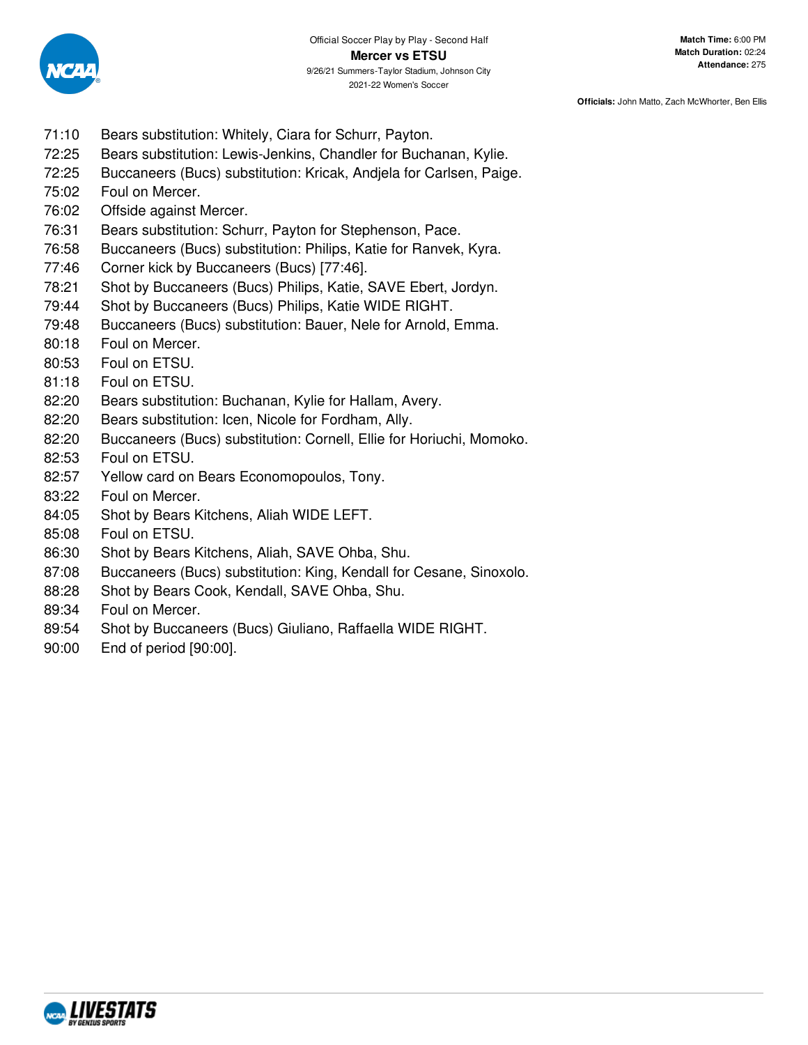

- 71:10 Bears substitution: Whitely, Ciara for Schurr, Payton.
- 72:25 Bears substitution: Lewis-Jenkins, Chandler for Buchanan, Kylie.
- 72:25 Buccaneers (Bucs) substitution: Kricak, Andjela for Carlsen, Paige.
- 75:02 Foul on Mercer.
- 76:02 Offside against Mercer.
- 76:31 Bears substitution: Schurr, Payton for Stephenson, Pace.
- 76:58 Buccaneers (Bucs) substitution: Philips, Katie for Ranvek, Kyra.
- 77:46 Corner kick by Buccaneers (Bucs) [77:46].
- 78:21 Shot by Buccaneers (Bucs) Philips, Katie, SAVE Ebert, Jordyn.
- 79:44 Shot by Buccaneers (Bucs) Philips, Katie WIDE RIGHT.
- 79:48 Buccaneers (Bucs) substitution: Bauer, Nele for Arnold, Emma.
- 80:18 Foul on Mercer.
- 80:53 Foul on ETSU.
- 81:18 Foul on ETSU.
- 82:20 Bears substitution: Buchanan, Kylie for Hallam, Avery.
- 82:20 Bears substitution: Icen, Nicole for Fordham, Ally.
- 82:20 Buccaneers (Bucs) substitution: Cornell, Ellie for Horiuchi, Momoko.
- 82:53 Foul on ETSU.
- 82:57 Yellow card on Bears Economopoulos, Tony.
- 83:22 Foul on Mercer.
- 84:05 Shot by Bears Kitchens, Aliah WIDE LEFT.
- 85:08 Foul on ETSU.
- 86:30 Shot by Bears Kitchens, Aliah, SAVE Ohba, Shu.
- 87:08 Buccaneers (Bucs) substitution: King, Kendall for Cesane, Sinoxolo.
- 88:28 Shot by Bears Cook, Kendall, SAVE Ohba, Shu.
- 89:34 Foul on Mercer.
- 89:54 Shot by Buccaneers (Bucs) Giuliano, Raffaella WIDE RIGHT.
- 90:00 End of period [90:00].

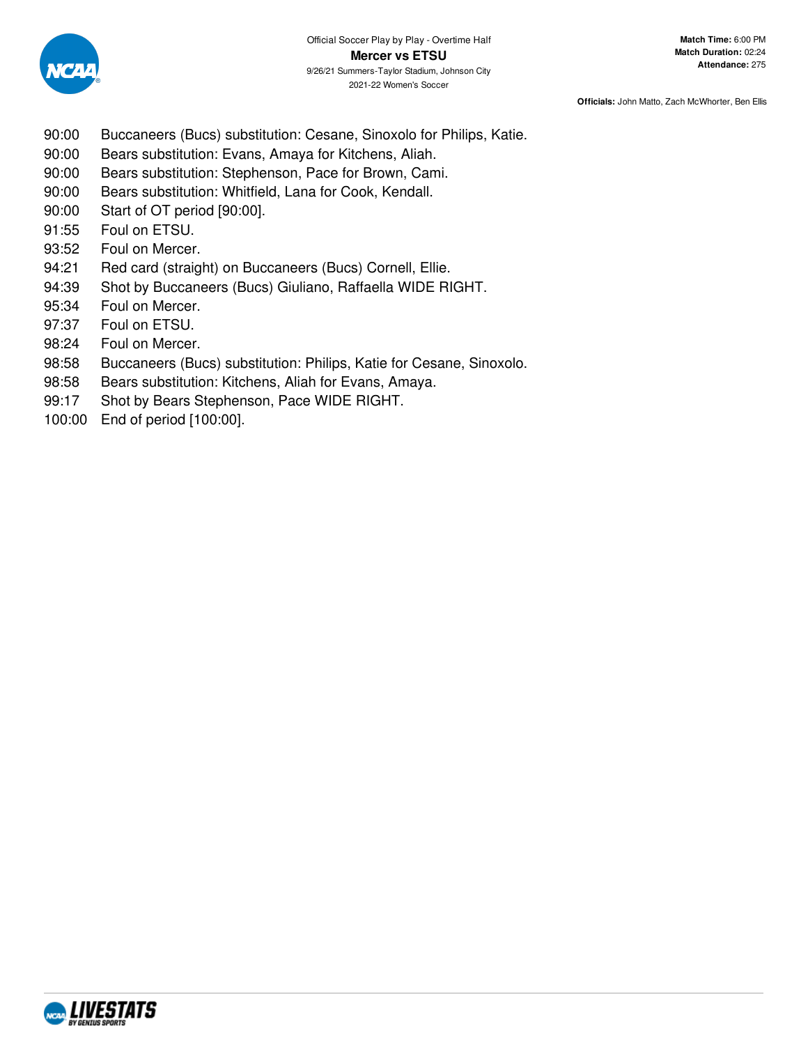

- 90:00 Buccaneers (Bucs) substitution: Cesane, Sinoxolo for Philips, Katie.
- 90:00 Bears substitution: Evans, Amaya for Kitchens, Aliah.
- 90:00 Bears substitution: Stephenson, Pace for Brown, Cami.
- 90:00 Bears substitution: Whitfield, Lana for Cook, Kendall.
- 90:00 Start of OT period [90:00].
- 91:55 Foul on ETSU.
- 93:52 Foul on Mercer.
- 94:21 Red card (straight) on Buccaneers (Bucs) Cornell, Ellie.
- 94:39 Shot by Buccaneers (Bucs) Giuliano, Raffaella WIDE RIGHT.
- 95:34 Foul on Mercer.
- 97:37 Foul on ETSU.
- 98:24 Foul on Mercer.
- 98:58 Buccaneers (Bucs) substitution: Philips, Katie for Cesane, Sinoxolo.
- 98:58 Bears substitution: Kitchens, Aliah for Evans, Amaya.
- 99:17 Shot by Bears Stephenson, Pace WIDE RIGHT.
- 100:00 End of period [100:00].

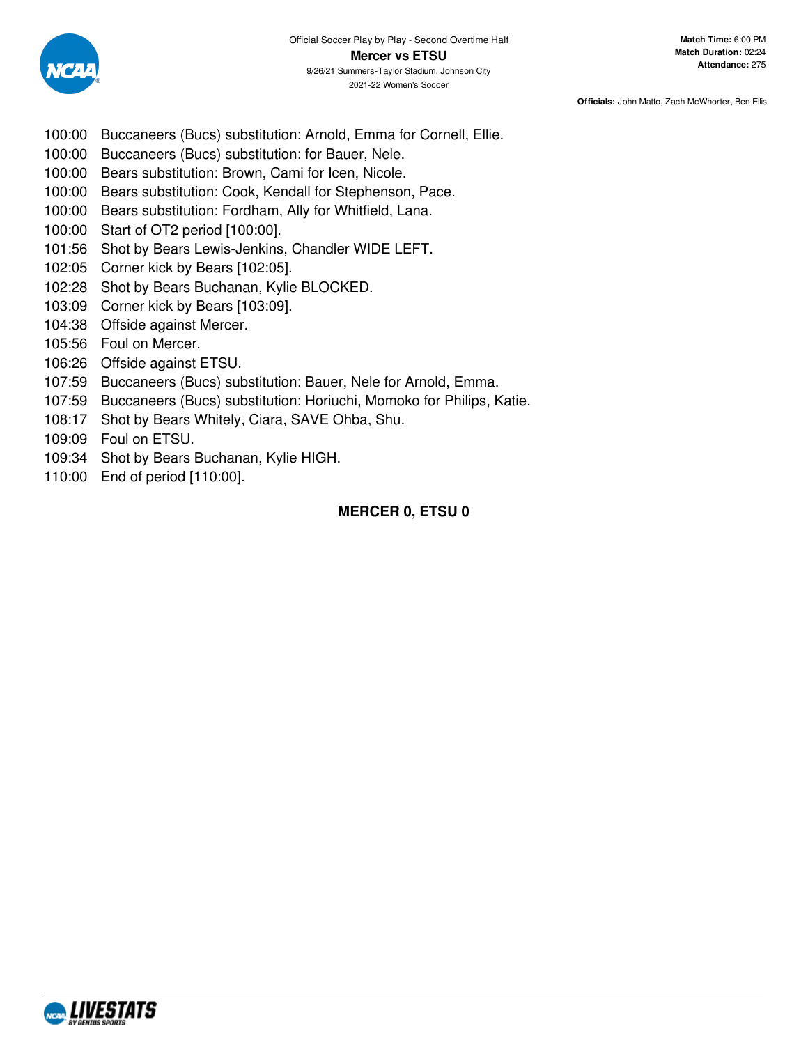

- 100:00 Buccaneers (Bucs) substitution: Arnold, Emma for Cornell, Ellie.
- 100:00 Buccaneers (Bucs) substitution: for Bauer, Nele.
- 100:00 Bears substitution: Brown, Cami for Icen, Nicole.
- 100:00 Bears substitution: Cook, Kendall for Stephenson, Pace.
- 100:00 Bears substitution: Fordham, Ally for Whitfield, Lana.
- 100:00 Start of OT2 period [100:00].
- 101:56 Shot by Bears Lewis-Jenkins, Chandler WIDE LEFT.
- 102:05 Corner kick by Bears [102:05].
- 102:28 Shot by Bears Buchanan, Kylie BLOCKED.
- 103:09 Corner kick by Bears [103:09].
- 104:38 Offside against Mercer.
- 105:56 Foul on Mercer.
- 106:26 Offside against ETSU.
- 107:59 Buccaneers (Bucs) substitution: Bauer, Nele for Arnold, Emma.
- 107:59 Buccaneers (Bucs) substitution: Horiuchi, Momoko for Philips, Katie.
- 108:17 Shot by Bears Whitely, Ciara, SAVE Ohba, Shu.
- 109:09 Foul on ETSU.
- 109:34 Shot by Bears Buchanan, Kylie HIGH.
- 110:00 End of period [110:00].

# **MERCER 0, ETSU 0**

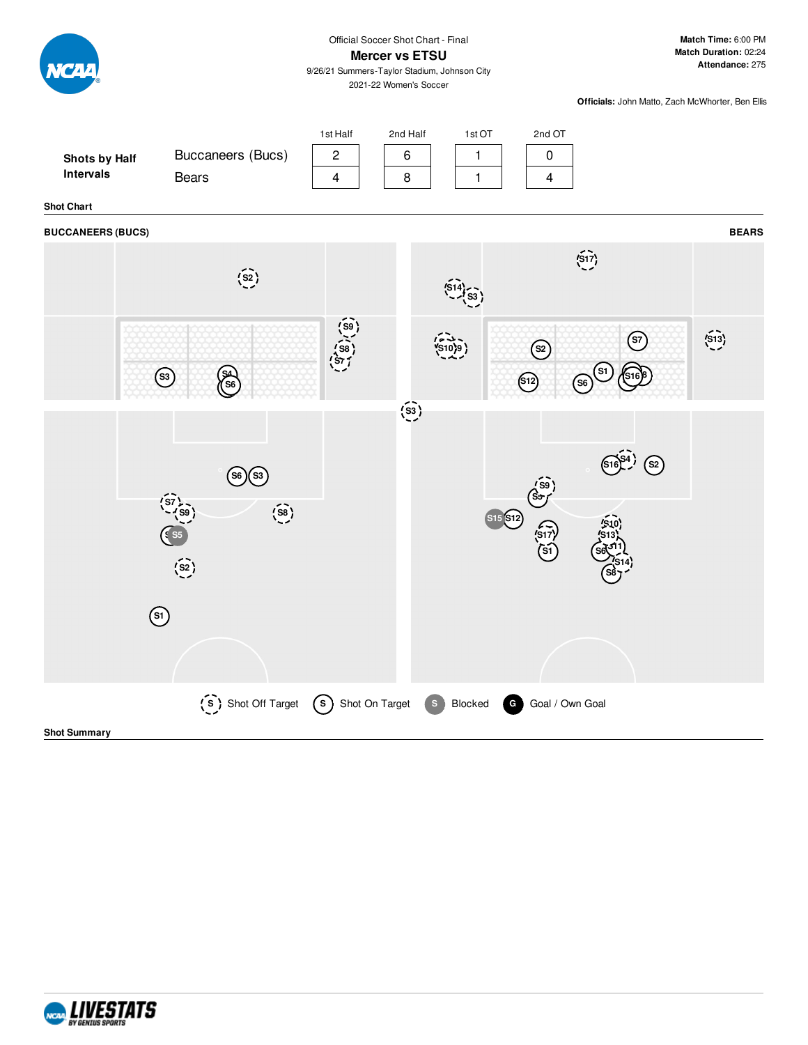

#### **Shot Summary**